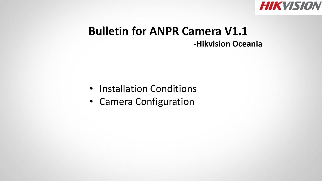

#### **Bulletin for ANPR Camera V1.1 -Hikvision Oceania**

- Installation Conditions
- Camera Configuration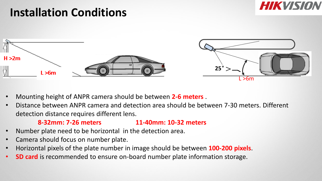## **Installation Conditions**





- Mounting height of ANPR camera should be between **2-6 meters** .
- Distance between ANPR camera and detection area should be between 7-30 meters. Different detection distance requires different lens.

#### **8-32mm: 7-26 meters 11-40mm: 10-32 meters**

- Number plate need to be horizontal in the detection area.
- Camera should focus on number plate.
- Horizontal pixels of the plate number in image should be between **100-200 pixels**.
- **SD card** is recommended to ensure on-board number plate information storage.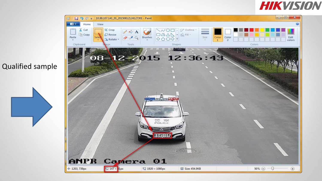#### **HIKVISION**



Qualified sample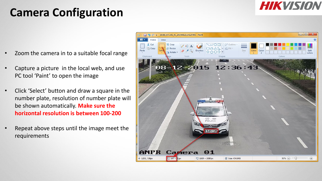### **HIKVISION**

# **Camera Configuration**

- Zoom the camera in to a suitable focal range
- Capture a picture in the local web, and use PC tool 'Paint' to open the image
- Click 'Select' button and draw a square in the number plate, resolution of number plate will be shown automatically. **Make sure the horizontal resolution is between 100-200**
- Repeat above steps until the image meet the requirements

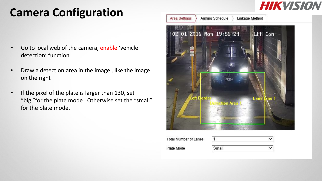# **Camera Configuration**

- Go to local web of the camera, enable 'vehicle detection' function
- Draw a detection area in the image , like the image on the right
- If the pixel of the plate is larger than 130, set "big "for the plate mode . Otherwise set the "small" for the plate mode.



**HIKVISION** 

| Total Number of Lanes |       |  |
|-----------------------|-------|--|
| Plate Mode            | `mall |  |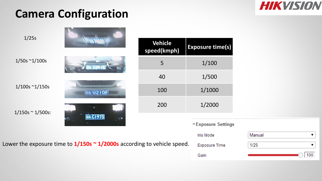### **HIKVISION**

# **Camera Configuration**

| 1/25s |  |  |
|-------|--|--|
|       |  |  |

1/50s ~1/100s

1/100s ~1/150s

 $1/150s \approx 1/500s$ :

| 5   | 1/100  |
|-----|--------|
| 40  | 1/500  |
| 100 | 1/1000 |
| 200 | 1/2000 |

Lower the exposure time to **1/150s ~ 1/2000s** according to vehicle speed.

U210F

**C197S** 

| <b>Exposure Settings</b> |        |
|--------------------------|--------|
| Iris Mode                | Manual |
| <b>Exposure Time</b>     | 1/25   |
| Gain                     | 100    |